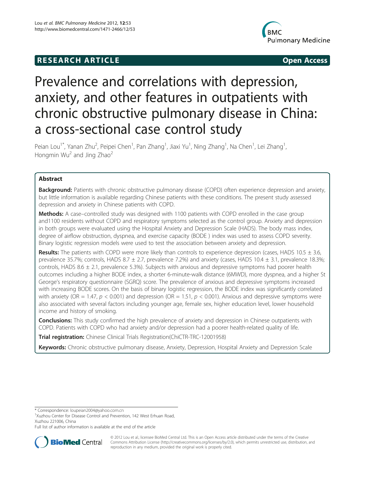# **RESEARCH ARTICLE Example 2018 12:00 Open Access**



# Prevalence and correlations with depression, anxiety, and other features in outpatients with chronic obstructive pulmonary disease in China: a cross-sectional case control study

Peian Lou<sup>1\*</sup>, Yanan Zhu<sup>2</sup>, Peipei Chen<sup>1</sup>, Pan Zhang<sup>1</sup>, Jiaxi Yu<sup>1</sup>, Ning Zhang<sup>1</sup>, Na Chen<sup>1</sup>, Lei Zhang<sup>1</sup> , Hongmin Wu<sup>2</sup> and Jing Zhao<sup>2</sup>

# Abstract

Background: Patients with chronic obstructive pulmonary disease (COPD) often experience depression and anxiety, but little information is available regarding Chinese patients with these conditions. The present study assessed depression and anxiety in Chinese patients with COPD.

Methods: A case–controlled study was designed with 1100 patients with COPD enrolled in the case group and1100 residents without COPD and respiratory symptoms selected as the control group. Anxiety and depression in both groups were evaluated using the Hospital Anxiety and Depression Scale (HADS). The body mass index, degree of airflow obstruction, dyspnea, and exercise capacity (BODE ) index was used to assess COPD severity. Binary logistic regression models were used to test the association between anxiety and depression.

Results: The patients with COPD were more likely than controls to experience depression (cases, HADS 10.5  $\pm$  3.6, prevalence 35.7%; controls, HADS 8.7 ± 2.7, prevalence 7.2%) and anxiety (cases, HADS 10.4 ± 3.1, prevalence 18.3%; controls, HADS 8.6  $\pm$  2.1, prevalence 5.3%). Subjects with anxious and depressive symptoms had poorer health outcomes including a higher BODE index, a shorter 6-minute-walk distance (6MWD), more dyspnea, and a higher St George's respiratory questionnaire (SGRQ) score. The prevalence of anxious and depressive symptoms increased with increasing BODE scores. On the basis of binary logistic regression, the BODE index was significantly correlated with anxiety (OR = 1.47,  $p < 0.001$ ) and depression (OR = 1.51,  $p < 0.001$ ). Anxious and depressive symptoms were also associated with several factors including younger age, female sex, higher education level, lower household income and history of smoking.

**Conclusions:** This study confirmed the high prevalence of anxiety and depression in Chinese outpatients with COPD. Patients with COPD who had anxiety and/or depression had a poorer health-related quality of life.

Trial registration: Chinese Clinical Trials Registration(ChiCTR-TRC-12001958)

Keywords: Chronic obstructive pulmonary disease, Anxiety, Depression, Hospital Anxiety and Depression Scale

Full list of author information is available at the end of the article



© 2012 Lou et al.; licensee BioMed Central Ltd. This is an Open Access article distributed under the terms of the Creative Commons Attribution License [\(http://creativecommons.org/licenses/by/2.0\)](http://creativecommons.org/licenses/by/2.0), which permits unrestricted use, distribution, and reproduction in any medium, provided the original work is properly cited.

<sup>\*</sup> Correspondence: [loupeian2004@yahoo.com.cn](mailto:loupeian2004@yahoo.com.cn) <sup>1</sup>

<sup>&</sup>lt;sup>1</sup>Xuzhou Center for Disease Control and Prevention, 142 West Erhuan Road, Xuzhou 221006, China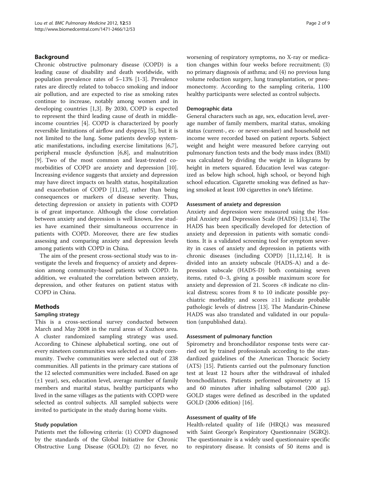# Background

Chronic obstructive pulmonary disease (COPD) is a leading cause of disability and death worldwide, with population prevalence rates of 5–13% [[1-3](#page-7-0)]. Prevalence rates are directly related to tobacco smoking and indoor air pollution, and are expected to rise as smoking rates continue to increase, notably among women and in developing countries [\[1,3](#page-7-0)]. By 2030, COPD is expected to represent the third leading cause of death in middleincome countries [\[4](#page-7-0)]. COPD is characterized by poorly reversible limitations of airflow and dyspnea [\[5](#page-7-0)], but it is not limited to the lung. Some patients develop systematic manifestations, including exercise limitations [\[6,7](#page-7-0)], peripheral muscle dysfunction [\[6,8\]](#page-7-0), and malnutrition [[9\]](#page-7-0). Two of the most common and least-treated comorbidities of COPD are anxiety and depression [\[10](#page-7-0)]. Increasing evidence suggests that anxiety and depression may have direct impacts on health status, hospitalization and exacerbation of COPD [[11](#page-7-0),[12](#page-7-0)], rather than being consequences or markers of disease severity. Thus, detecting depression or anxiety in patients with COPD is of great importance. Although the close correlation between anxiety and depression is well known, few studies have examined their simultaneous occurrence in patients with COPD. Moreover, there are few studies assessing and comparing anxiety and depression levels among patients with COPD in China.

The aim of the present cross-sectional study was to investigate the levels and frequency of anxiety and depression among community-based patients with COPD. In addition, we evaluated the correlation between anxiety, depression, and other features on patient status with COPD in China.

# Methods

#### Sampling strategy

This is a cross-sectional survey conducted between March and May 2008 in the rural areas of Xuzhou area. A cluster randomized sampling strategy was used. According to Chinese alphabetical sorting, one out of every nineteen communities was selected as a study community. Twelve communities were selected out of 238 communities. All patients in the primary care stations of the 12 selected communities were included. Based on age (±1 year), sex, education level, average number of family members and marital status, healthy participants who lived in the same villages as the patients with COPD were selected as control subjects. All sampled subjects were invited to participate in the study during home visits.

#### Study population

Patients met the following criteria: (1) COPD diagnosed by the standards of the Global Initiative for Chronic Obstructive Lung Disease (GOLD); (2) no fever, no

worsening of respiratory symptoms, no X-ray or medication changes within four weeks before recruitment; (3) no primary diagnosis of asthma; and (4) no previous lung volume reduction surgery, lung transplantation, or pneumonectomy. According to the sampling criteria, 1100 healthy participants were selected as control subjects.

#### Demographic data

General characters such as age, sex, education level, average number of family members, marital status, smoking status (current-, ex- or never-smoker) and household net income were recorded based on patient reports. Subject weight and height were measured before carrying out pulmonary function tests and the body mass index (BMI) was calculated by dividing the weight in kilograms by height in meters squared. Education level was categorized as below high school, high school, or beyond high school education. Cigarette smoking was defined as having smoked at least 100 cigarettes in one's lifetime.

#### Assessment of anxiety and depression

Anxiety and depression were measured using the Hospital Anxiety and Depression Scale (HADS) [[13,14\]](#page-7-0). The HADS has been specifically developed for detection of anxiety and depression in patients with somatic conditions. It is a validated screening tool for symptom severity in cases of anxiety and depression in patients with chronic diseases (including COPD) [[11,12,14\]](#page-7-0). It is divided into an anxiety subscale (HADS-A) and a depression subscale (HADS-D) both containing seven items, rated 0–3, giving a possible maximum score for anxiety and depression of 21. Scores <8 indicate no clinical distress; scores from 8 to 10 indicate possible psychiatric morbidity; and scores ≥11 indicate probable pathologic levels of distress [\[13](#page-7-0)]. The Mandarin-Chinese HADS was also translated and validated in our population (unpublished data).

#### Assessment of pulmonary function

Spirometry and bronchodilator response tests were carried out by trained professionals according to the standardized guidelines of the American Thoracic Society (ATS) [[15\]](#page-7-0). Patients carried out the pulmonary function test at least 12 hours after the withdrawal of inhaled bronchodilators. Patients performed spirometry at 15 and 60 minutes after inhaling salbutamol (200 μg). GOLD stages were defined as described in the updated GOLD (2006 edition) [[16\]](#page-7-0).

#### Assessment of quality of life

Health-related quality of 1ife (HRQL) was measured with Saint George's Respiratory Questionnaire (SGRQ). The questionnaire is a widely used questionnaire specific to respiratory disease. It consists of 50 items and is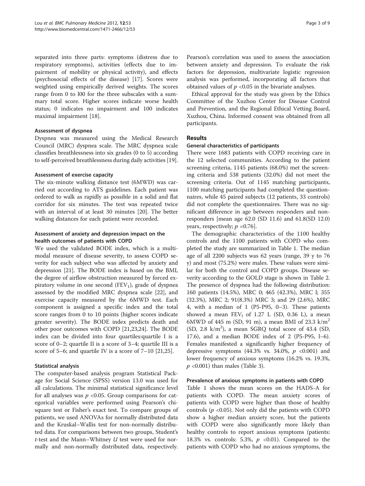separated into three parts: symptoms (distress due to respiratory symptoms), activities (effects due to impairment of mobility or physical activity), and effects (psychosocial effects of the disease) [\[17\]](#page-7-0). Scores were weighted using empirically derived weights. The scores range from 0 to l00 for the three subscales with a summary total score. Higher scores indicate worse health status; 0 indicates no impairment and 100 indicates maximal impairment [\[18](#page-7-0)].

#### Assessment of dyspnea

Dyspnea was measured using the Medical Research Council (MRC) dyspnea scale. The MRC dyspnea scale classifies breathlessness into six grades (0 to 5) according to self-perceived breathlessness during daily activities [\[19](#page-7-0)].

#### Assessment of exercise capacity

The six-minute walking distance test (6MWD) was carried out according to ATS guidelines. Each patient was ordered to walk as rapidly as possible in a solid and flat corridor for six minutes. The test was repeated twice with an interval of at least 30 minutes [\[20](#page-7-0)]. The better walking distances for each patient were recorded.

# Assessment of anxiety and depression impact on the health outcomes of patients with COPD

We used the validated BODE index, which is a multimodal measure of disease severity, to assess COPD severity for each subject who was affected by anxiety and depression [\[21\]](#page-7-0). The BODE index is based on the BMI, the degree of airflow obstruction measured by forced expiratory volume in one second  $(FEV_1)$ , grade of dyspnea assessed by the modified MRC dyspnea scale [\[22\]](#page-7-0), and exercise capacity measured by the 6MWD test. Each component is assigned a specific index and the total score ranges from 0 to 10 points (higher scores indicate greater severity). The BODE index predicts death and other poor outcomes with COPD [\[21,23,24\]](#page-7-0). The BODE index can be divided into four quartiles:quartile I is a score of 0–2; quartile II is a score of 3–4; quartile III is a score of 5–6; and quartile IV is a score of 7–10 [[21](#page-7-0),[25](#page-7-0)].

# Statistical analysis

The computer-based analysis program Statistical Package for Social Science (SPSS) version 13.0 was used for all calculations. The minimal statistical significance level for all analyses was  $p$  <0.05. Group comparisons for categorical variables were performed using Pearson's chisquare test or Fisher's exact test. To compare groups of patients, we used ANOVAs for normally distributed data and the Kruskal–Wallis test for non-normally distributed data. For comparisons between two groups, Student's t-test and the Mann–Whitney  $U$  test were used for normally and non-normally distributed data, respectively.

Pearson's correlation was used to assess the association between anxiety and depression. To evaluate the risk factors for depression, multivariate logistic regression analysis was performed, incorporating all factors that obtained values of  $p < 0.05$  in the bivariate analyses.

Ethical approval for the study was given by the Ethics Committee of the Xuzhou Center for Disease Control and Prevention, and the Regional Ethical Vetting Board, Xuzhou, China. Informed consent was obtained from all participants.

# Results

#### General characteristics of participants

There were 1683 patients with COPD receiving care in the 12 selected communities. According to the patient screening criteria, 1145 patients (68.0%) met the screening criteria and 538 patients (32.0%) did not meet the screening criteria. Out of 1145 matching participants, 1100 matching participants had completed the questionnaires, while 45 paired subjects (12 patients, 33 controls) did not complete the questionnaires. There was no significant difference in age between responders and nonresponders [mean age 62.0 (SD 11.6) and 61.8(SD 12.0) years, respectively;  $p = 0.76$ .

The demographic characteristics of the 1100 healthy controls and the 1100 patients with COPD who completed the study are summarized in Table [1.](#page-3-0) The median age of all 2200 subjects was 62 years (range, 39 y to 76 y) and most (75.2%) were males. These values were similar for both the control and COPD groups. Disease severity according to the GOLD stage is shown in Table [2](#page-3-0). The presence of dyspnea had the following distribution: 160 patients (14.5%), MRC 0; 465 (42.3%), MRC l; 355 (32.3%), MRC 2; 91(8.3%) MRC 3; and 29 (2.6%), MRC 4, with a median of 1 (P5-P95, 0–3). These patients showed a mean  $FEV_1$  of 1.27 L (SD, 0.36 L), a mean 6MWD of 445 m (SD, 91 m), a mean BMI of 23.3  $k/m^2$  $(SD, 2.8 \text{ k/m}^2)$ , a mean SGRQ total score of 43.4  $(SD, 2.8 \text{ k/m}^2)$ 17.6), and a median BODE index of 2 (P5-P95, l–6). Females manifested a significantly higher frequency of depressive symptoms (44.3% vs. 34.0%,  $p \le 0.001$ ) and lower frequency of anxious symptoms (16.2% vs. 19.3%,  $p$  <0.001) than males (Table [3\)](#page-4-0).

#### Prevalence of anxious symptoms in patients with COPD

Table [1](#page-3-0) shows the mean scores on the HADS-A for patients with COPD. The mean anxiety scores of patients with COPD were higher than those of healthy controls ( $p$  <0.05). Not only did the patients with COPD show a higher median anxiety score, but the patients with COPD were also significantly more likely than healthy controls to report anxious symptoms (patients: 18.3% vs. controls: 5.3%,  $p \le 0.01$ ). Compared to the patients with COPD who had no anxious symptoms, the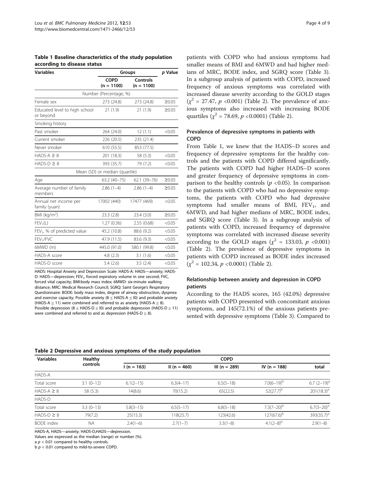<span id="page-3-0"></span>Table 1 Baseline characteristics of the study population according to disease status

| <b>Variables</b>                           | Groups                         | p Value                  |             |
|--------------------------------------------|--------------------------------|--------------------------|-------------|
|                                            | <b>COPD</b><br>$(n = 1100)$    | Controls<br>$(n = 1100)$ |             |
|                                            | Number (Percentage, %)         |                          |             |
| Female sex                                 | 273 (24.8)                     | 273 (24.8)               | $\geq 0.05$ |
| Educated level to high school<br>or beyond | 21(1.9)                        | 21(1.9)                  | $\geq 0.05$ |
| Smoking history                            |                                |                          |             |
| Past smoker                                | 264 (24.0)                     | 12(1.1)                  | < 0.05      |
| Current smoker                             | 226 (20.5)                     | 235 (21.4)               |             |
| Never smoker                               | 610 (55.5)                     | 853 (77.5)               |             |
| $HADS-A \geq 8$                            | 201 (18.3)                     | 58 (5.3)                 | < 0.05      |
| $HADS-D \geq 8$                            | 393 (35.7)                     | 79 (7.2)                 | < 0.05      |
|                                            | Mean (SD) or median (quartile) |                          |             |
| Age                                        | 63.2 (40-75)                   | 62.1 (39-76)             | $\geq 0.05$ |
| Average number of family<br>members        | $2.86(1-4)$                    | $2.86(1-4)$              | $\geq 0.05$ |
| Annual net income per<br>family (yuan)     | 17002 (440)                    | 17477 (469)              | < 0.05      |
| BMI (kg/m <sup>2</sup> )                   | 23.3(2.8)                      | 23.4(3.0)                | ≥0.05       |
| $FEV_1(L)$                                 | 1.27 (0.36)                    | 2.55(0.68)               | < 0.05      |
| FEV <sub>1</sub> , % of predicted value    | 45.2 (10.8)                    | 88.6 (9.2)               | < 0.05      |
| FEV <sub>1</sub> /FVC                      | 47.9 (11.5)                    | 83.6 (9.3)               | < 0.05      |
| 6MWD (m)                                   | 445.0 (91.0)                   | 580.1 (99.8)             | < 0.05      |
| HADS-A score                               | 4.8(2.3)                       | 3.1(1.6)                 | < 0.05      |
| HADS-D score                               | 5.4(2.6)                       | 3.5(2.4)                 | < 0.05      |

HADS: Hospital Anxiety and Depression Scale: HADS-A: HADS—anxiety; HADS-D: HADS—depression; FEV<sub>1</sub>, forced expiratory volume in one second; FVC, forced vital capacity; BMI:body mass index; 6MWD: six-minute walking distance; MRC: Medical Research Council; SGRQ: Saint George's Respiratory Questionnaire: BODE: body mass index, degree of airway obstruction, dyspnea and exercise capacity; Possible anxiety ( $8 \leq$  HADS-A  $\leq$  10) and probable anxiety (HADS-A  $\geq$  11) were combined and referred to as anxiety (HADS-A  $\geq$  8). Possible depression (8  $\leq$  HADS-D  $\leq$  10) and probable depression (HADS-D  $\geq$  11) were combined and referred to and as depression (HADS-D  $\geq$  8).

patients with COPD who had anxious symptoms had smaller means of BMI and 6MWD and had higher medians of MRC, BODE index, and SGRQ score (Table [3](#page-4-0)). In a subgroup analysis of patients with COPD, increased frequency of anxious symptoms was correlated with increased disease severity according to the GOLD stages  $(x^2 = 27.47, p < 0.001)$  (Table 2). The prevalence of anxious symptoms also increased with increasing BODE quartiles ( $\chi^2$  = 78.69, *p* <0.0001) (Table 2).

# Prevalence of depressive symptoms in patients with COPD

From Table 1, we knew that the HADS–D scores and frequency of depressive symptoms for the healthy controls and the patients with COPD differed significantly. The patients with COPD had higher HADS–D scores and greater frequency of depressive symptoms in comparison to the healthy controls ( $p < 0.05$ ). In comparison to the patients with COPD who had no depressive symptoms, the patients with COPD who had depressive symptoms had smaller means of BMI,  $FEV<sub>1</sub>$ , and 6MWD, and had higher medians of MRC, BODE index, and SGRQ score (Table [3](#page-4-0)). In a subgroup analysis of patients with COPD, increased frequency of depressive symptoms was correlated with increased disease severity according to the GOLD stages ( $\chi^2$  = 133.03, p <0.001) (Table 2). The prevalence of depressive symptoms in patients with COPD increased as BODE index increased  $(y^2 = 102.34, p < 0.0001)$  (Table 2).

# Relationship between anxiety and depression in COPD patients

According to the HADS scores, 165 (42.0%) depressive patients with COPD presented with concomitant anxious symptoms, and 145(72.1%) of the anxious patients presented with depressive symptoms (Table [3\)](#page-4-0). Compared to

| <b>Variables</b>  | Healthy<br>controls |               |              | <b>COPD</b>     |                  |                  |  |
|-------------------|---------------------|---------------|--------------|-----------------|------------------|------------------|--|
|                   |                     | $l(n = 163)$  | II (n = 460) | $III (n = 289)$ | IV ( $n = 188$ ) | total            |  |
| HADS-A            |                     |               |              |                 |                  |                  |  |
| Total score       | $3.1(0-12)$         | $6.1(2-15)$   | $6.3(4-17)$  | $6.5(5-18)$     | $7.0(6-19)^{b}$  | $6.7$ $(2-19)^a$ |  |
| $HADS-A \geq 8$   | 58 (5.3)            | 14(8.6)       | 70(15.2)     | 65(22.5)        | $52(27.7)^{b}$   | $201(18.3)^a$    |  |
| HADS-D            |                     |               |              |                 |                  |                  |  |
| Total score       | $3.3(0-13)$         | $5.8(3 - 15)$ | $6.5(5-17)$  | $6.8(5-18)$     | $7.3(7-20)^{b}$  | $6.7(3-20)^a$    |  |
| $HADS-D \geq 8$   | 79(7.2)             | 25(15.3)      | 118(25.7)    | 123(42.6)       | $127(67.6)^{b}$  | $393(35.7)^a$    |  |
| <b>BODE</b> index | <b>NA</b>           | $2.4(1-6)$    | $2.7(1 - 7)$ | $3.3(1-8)$      | $4.1(2-8)^{b}$   | $2.9(1-8)$       |  |

Table 2 Depressive and anxious symptoms of the study population

HADS-A, HADS—anxiety; HADS-D,HADS—depression.

Values are expressed as the median (range) or number (%).

a  $p < 0.01$  compared to healthy controls.

 $b$   $p$  < 0.01 compared to mild-to-severe COPD.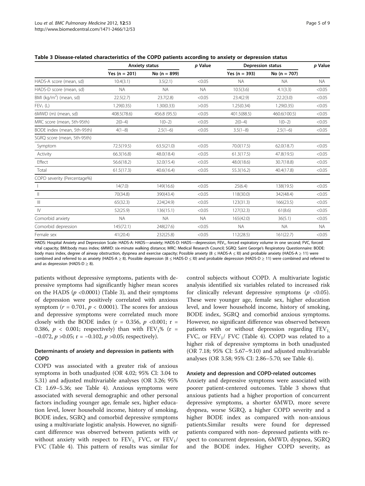|                                     | <b>Anxiety status</b> |                  | p Value   |                 | <b>Depression status</b> | p Value   |
|-------------------------------------|-----------------------|------------------|-----------|-----------------|--------------------------|-----------|
|                                     | Yes $(n = 201)$       | No ( $n = 899$ ) |           | Yes $(n = 393)$ | No ( $n = 707$ )         |           |
| HADS-A score (mean, sd)             | 10.4(3.1)             | 3.5(2.1)         | < 0.05    | <b>NA</b>       | <b>NA</b>                | <b>NA</b> |
| HADS-D score (mean, sd)             | NA.                   | <b>NA</b>        | <b>NA</b> | 10.5(3.6)       | 4.1(3.3)                 | < 0.05    |
| BMI (kg/m <sup>2</sup> ) (mean, sd) | 22.5(2.7)             | 23.7(2.8)        | < 0.05    | 23.4(2.9)       | 22.2(3.0)                | < 0.05    |
| $FEV_1(L)$                          | 1.29(0.35)            | 1.30(0.33)       | >0.05     | 1.25(0.34)      | 1.29(0.35)               | < 0.05    |
| 6MWD (m) (mean, sd)                 | 408.5(78.6)           | 456.8 (95.5)     | < 0.05    | 401.5(88.5)     | 460.6(100.5)             | < 0.05    |
| MRC score (mean, 5th-95th)          | $2(0-4)$              | $1(0-2)$         | < 0.05    | $2(0-4)$        | $1(0-2)$                 | < 0.05    |
| BODE index (mean, 5th-95th)         | $4(1-8)$              | $2.5(1-6)$       | < 0.05    | $3.5(1-8)$      | $2.5(1-6)$               | < 0.05    |
| SGRQ score (mean, 5th-95th)         |                       |                  |           |                 |                          |           |
| Symptom                             | 72.5(19.5)            | 63.5(21.0)       | < 0.05    | 70.0(17.5)      | 62.0(18.7)               | < 0.05    |
| Activity                            | 66.3(16.8)            | 48.0(18.4)       | < 0.05    | 61.3(17.5)      | 47.8(19.5)               | < 0.05    |
| Effect                              | 56.6(18.2)            | 32.0(15.4)       | < 0.05    | 48.0(18.6)      | 30.7(18.8)               | < 0.05    |
| Total                               | 61.5(17.3)            | 40.6(16.4)       | < 0.05    | 55.3(16.2)      | 40.4(17.8)               | < 0.05    |
| COPD severity (Percentage%)         |                       |                  |           |                 |                          |           |
|                                     | 14(7.0)               | 149(16.6)        | < 0.05    | 25(6.4)         | 138(19.5)                | < 0.05    |
| $\mathbb{I}$                        | 70(34.8)              | 390(43.4)        | < 0.05    | 118(30.0)       | 342(48.4)                | < 0.05    |
| $\mathbb{H}$                        | 65(32.3)              | 224(24.9)        | < 0.05    | 123(31.3)       | 166(23.5)                | < 0.05    |
| $\mathsf{IV}$                       | 52(25.9)              | 136(15.1)        | < 0.05    | 127(32.3)       | 61(8.6)                  | < 0.05    |
| Comorbid anxiety                    | <b>NA</b>             | <b>NA</b>        | <b>NA</b> | 165(42.0)       | 36(5.1)                  | < 0.05    |
| Comorbid depression                 | 145(72.1)             | 248(27.6)        | < 0.05    | <b>NA</b>       | <b>NA</b>                | NA.       |
| Female sex                          | 41(20.4)              | 232(25.8)        | < 0.05    | 112(28.5)       | 161(22.7)                | < 0.05    |

<span id="page-4-0"></span>Table 3 Disease-related characteristics of the COPD patients according to anxiety or depression status

HADS: Hospital Anxiety and Depression Scale: HADS-A: HADS—anxiety; HADS-D: HADS—depression; FEV<sub>1</sub>, forced expiratory volume in one second; FVC, forced vital capacity; BMI:body mass index; 6MWD: six-minute walking distance; MRC: Medical Research Council; SGRQ: Saint George's Respiratory Questionnaire: BODE: body mass index, degree of airway obstruction, dyspnea and exercise capacity; Possible anxiety (8 ≤ HADS-A ≤ l0) and probable anxiety (HADS-A ≥ 11) were combined and referred to as anxiety (HADS-A ≥ 8). Possible depression (8 ≤ HADS-D ≤ l0) and probable depression (HADS-D ≥ 11) were combined and referred to and as depression (HADS-D  $>$  8).

patients without depressive symptoms, patients with depressive symptoms had significantly higher mean scores on the HADS ( $p$  <0.0001) (Table 3), and their symptoms of depression were positively correlated with anxious symptom ( $r = 0.701$ ,  $p < 0.0001$ ). The scores for anxious and depressive symptoms were correlated much more closely with the BODE index ( $r = 0.356$ ,  $p \le 0.001$ ;  $r =$ 0.386,  $p < 0.001$ ; respectively) than with  $FEV<sub>1</sub>%$  (r = −0.072,  $p > 0.05$ ; r = −0.102,  $p > 0.05$ ; respectively).

# Determinants of anxiety and depression in patients with COPD

COPD was associated with a greater risk of anxious symptoms in both unadjusted (OR 4.02; 95% CI: 3.04 to 5.31) and adjusted multivariable analyses (OR 3.26; 95% CI: 1.69–5.36; see Table [4\)](#page-5-0). Anxious symptoms were associated with several demographic and other personal factors including younger age, female sex, higher education level, lower household income, history of smoking, BODE index, SGRQ and comorbid depressive symptoms using a multivariate logistic analysis. However, no significant difference was observed between patients with or without anxiety with respect to  $FEV_1$ , FVC, or  $FEV_1$ / FVC (Table [4](#page-5-0)). This pattern of results was similar for

control subjects without COPD. A multivariate logistic analysis identified six variables related to increased risk for clinically relevant depressive symptoms ( $p \le 0.05$ ). These were younger age, female sex, higher education level, and lower household income, history of smoking, BODE index, SGRQ and comorbid anxious symptoms. However, no significant difference was observed between patients with or without depression regarding  $FEV<sub>1</sub>$ , FVC, or  $FEV<sub>1</sub>/$  FVC (Table [4\)](#page-5-0). COPD was related to a higher risk of depressive symptoms in both unadjusted (OR 7.18; 95% CI: 5.67–9.10) and adjusted multivariable analyses (OR 3.58; 95% CI: 2.86–5.70; see Table [4\)](#page-5-0).

#### Anxiety and depression and COPD-related outcomes

Anxiety and depressive symptoms were associated with poorer patient-centered outcomes. Table 3 shows that anxious patients had a higher proportion of concurrent depressive symptoms, a shorter 6MWD, more severe dyspnea, worse SGRQ, a higher COPD severity and a higher BODE index as compared with non-anxious patients.Similar results were found for depressed patients compared with non- depressed patients with respect to concurrent depression, 6MWD, dyspnea, SGRQ and the BODE index. Higher COPD severity, as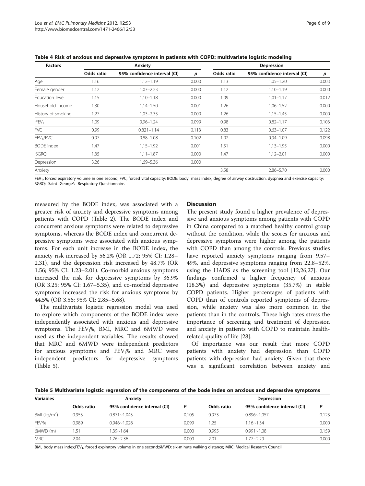<span id="page-5-0"></span>

| <b>Factors</b>        |            | Anxiety                      | Depression |            |                              |       |
|-----------------------|------------|------------------------------|------------|------------|------------------------------|-------|
|                       | Odds ratio | 95% confidence interval (CI) | p          | Odds ratio | 95% confidence interval (CI) | p     |
| Age                   | 1.16       | $1.12 - 1.19$                | 0.000      | 1.13       | $1.05 - 1.20$                | 0.003 |
| Female gender         | 1.12       | $1.03 - 2.23$                | 0.000      | 1.12       | $1.10 - 1.19$                | 0.000 |
| Education level       | 1.15       | $1.10 - 1.18$                | 0.000      | 1.09       | $1.01 - 1.17$                | 0.012 |
| Household income      | 1.30       | $1.14 - 1.50$                | 0.001      | 1.26       | $1.06 - 1.52$                | 0.000 |
| History of smoking    | 1.27       | $1.03 - 2.35$                | 0.000      | 1.26       | $1.15 - 1.45$                | 0.000 |
| $;$ FEV <sub>1</sub>  | 1.09       | $0.96 - 1.24$                | 0.099      | 0.98       | $0.82 - 1.17$                | 0.103 |
| <b>FVC</b>            | 0.99       | $0.821 - 1.14$               | 0.113      | 0.83       | $0.63 - 1.07$                | 0.122 |
| FEV <sub>1</sub> /FVC | 0.97       | $0.88 - 1.08$                | 0.102      | 1.02       | $0.94 - 1.09$                | 0.098 |
| <b>BODE</b> index     | 1.47       | $1.15 - 1.92$                | 0.001      | 1.51       | $1.13 - 1.95$                | 0.000 |
| ;SGRQ                 | 1.35       | $1.11 - 1.87$                | 0.000      | 1.47       | $1.12 - 2.01$                | 0.000 |
| Depression            | 3.26       | 1.69-5.36                    | 0.000      |            |                              |       |
| Anxiety               |            |                              |            | 3.58       | $2.86 - 5.70$                | 0.000 |

 $FEV_{1}$ , forced expiratory volume in one second; FVC, forced vital capacity; BODE: body mass index, degree of airway obstruction, dyspnea and exercise capacity; SGRQ: Saint George's Respiratory Questionnaire.

measured by the BODE index, was associated with a greater risk of anxiety and depressive symptoms among patients with COPD (Table [2\)](#page-3-0). The BODE index and concurrent anxious symptoms were related to depressive symptoms, whereas the BODE index and concurrent depressive symptoms were associated with anxious symptoms. For each unit increase in the BODE index, the anxiety risk increased by 56.2% (OR 1.72; 95% CI: 1.28– 2.31), and the depression risk increased by 48.7% (OR 1.56; 95% CI: 1.23–2.01). Co-morbid anxious symptoms increased the risk for depressive symptoms by 36.9% (OR 3.25; 95% CI: 1.67–5.35), and co-morbid depressive symptoms increased the risk for anxious symptoms by 44.5% (OR 3.56; 95% CI: 2.85–5.68).

The multivariate logistic regression model was used to explore which components of the BODE index were independently associated with anxious and depressive symptoms. The  $FEV<sub>1</sub>%$ , BMI, MRC and 6MWD were used as the independent variables. The results showed that MRC and 6MWD were independent predictors for anxious symptoms and  $FEV<sub>1</sub>%$  and MRC were independent predictors for depressive symptoms (Table 5).

# **Discussion**

The present study found a higher prevalence of depressive and anxious symptoms among patients with COPD in China compared to a matched healthy control group without the condition, while the scores for anxious and depressive symptoms were higher among the patients with COPD than among the controls. Previous studies have reported anxiety symptoms ranging from 9.57– 49%, and depressive symptoms ranging from 22.8–52%, using the HADS as the screening tool [\[12,26,27\]](#page-7-0). Our findings confirmed a higher frequency of anxious (18.3%) and depressive symptoms (35.7%) in stable COPD patients. Higher percentages of patients with COPD than of controls reported symptoms of depression, while anxiety was also more common in the patients than in the controls. These high rates stress the importance of screening and treatment of depression and anxiety in patients with COPD to maintain healthrelated quality of life [\[28](#page-7-0)].

Of importance was our result that more COPD patients with anxiety had depression than COPD patients with depression had anxiety. Given that there was a significant correlation between anxiety and

Table 5 Multivariate logistic regression of the components of the bode index on anxious and depressive symptoms

| <b>Variables</b>   | Anxiety    |                              |       | <b>Depression</b> |                              |       |  |
|--------------------|------------|------------------------------|-------|-------------------|------------------------------|-------|--|
|                    | Odds ratio | 95% confidence interval (CI) |       | Odds ratio        | 95% confidence interval (CI) |       |  |
| BMI ( $kg/m2$ )    | 0.953      | $0.871 - 1.043$              | 0.105 | 0.973             | $0.896 - 1.057$              | 0.123 |  |
| FEV <sub>1</sub> % | 0.989      | $0.946 - 1.028$              | 0.099 | 1.25              | $1.16 - 1.34$                | 0.000 |  |
| $6MWD$ (m)         | 1.51       | $1.39 - 1.64$                | 0.000 | 0.995             | $0.991 - 1.08$               | 0.159 |  |
| <b>MRC</b>         | 2.04       | 1.76~2.36                    | 0.000 | 2.01              | $1.77 - 2.29$                | 0.000 |  |

BMI, body mass index;FEV<sub>1</sub>, forced expiratory volume in one second;6MWD: six-minute walking distance; MRC: Medical Research Council.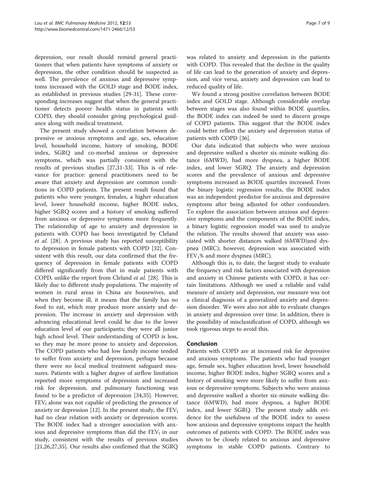depression, our result should remind general practitioners that when patients have symptoms of anxiety or depression, the other condition should be suspected as well. The prevalence of anxious and depressive symptoms increased with the GOLD stage and BODE index, as established in previous studies [\[29](#page-7-0)-[31\]](#page-8-0). These corresponding increases suggest that when the general practitioner detects poorer health status in patients with COPD, they should consider giving psychological guidance along with medical treatment.

The present study showed a correlation between depressive or anxious symptoms and age, sex, education level, household income, history of smoking, BODE index, SGRQ and co-morbid anxious or depressive symptoms, which was partially consistent with the results of previous studies [\[27](#page-7-0)[,31](#page-8-0)-[33](#page-8-0)]. This is of relevance for practice: general practitioners need to be aware that anxiety and depression are common conditions in COPD patients. The present result found that patients who were younger, females, a higher education level, lower household income, higher BODE index, higher SGRQ scores and a history of smoking suffered from anxious or depressive symptoms more frequently. The relationship of age to anxiety and depression in patients with COPD has been investigated by Cleland et al. [[28](#page-7-0)]. A previous study has reported susceptibility to depression in female patients with COPD [[32\]](#page-8-0). Consistent with this result, our data confirmed that the frequency of depression in female patients with COPD differed significantly from that in male patients with COPD, unlike the report from Cleland et al. [[28\]](#page-7-0). This is likely due to different study populations. The majority of women in rural areas in China are housewives, and when they become ill, it means that the family has no food to eat, which may produce more anxiety and depression. The increase in anxiety and depression with advancing educational level could be due to the lower education level of our participants; they were all junior high school level. Their understanding of COPD is less, so they may be more prone to anxiety and depression. The COPD patients who had low family income tended to suffer from anxiety and depression, perhaps because there were no local medical treatment safeguard measures. Patients with a higher degree of airflow limitation reported more symptoms of depression and increased risk for depression, and pulmonary functioning was found to be a predictor of depression [[34](#page-8-0),[35](#page-8-0)]. However,  $FEV<sub>1</sub>$  alone was not capable of predicting the presence of anxiety or depression [\[12\]](#page-7-0). In the present study, the  $FEV<sub>1</sub>$ had no clear relation with anxiety or depression scores. The BODE index had a stronger association with anxious and depressive symptoms than did the  $FEV<sub>1</sub>$  in our study, consistent with the results of previous studies [[21,26,27,](#page-7-0)[35\]](#page-8-0). Our results also confirmed that the SGRQ

was related to anxiety and depression in the patients with COPD. This revealed that the decline in the quality of life can lead to the generation of anxiety and depression, and vice versa, anxiety and depression can lead to reduced quality of life.

We found a strong positive correlation between BODE index and GOLD stage. Although considerable overlap between stages was also found within BODE quartiles, the BODE index can indeed be used to discern groups of COPD patients. This suggest that the BODE index could better reflect the anxiety and depression status of patients with COPD [[36\]](#page-8-0).

Our data indicated that subjects who were anxious and depressive walked a shorter six-minute walking distance (6MWD), had more dyspnea, a higher BODE index, and lower SGRQ. The anxiety and depression scores and the prevalence of anxious and depressive symptoms increased as BODE quartiles increased. From the binary logistic regression results, the BODE index was an independent predictor for anxious and depressive symptoms after being adjusted for other confounders. To explore the association between anxious and depressive symptoms and the components of the BODE index, a binary logistic regression model was used to analyze the relation. The results showed that anxiety was associated with shorter distances walked (6MWD)and dyspnea (MRC); however, depression was associated with  $FEV<sub>1</sub>%$  and more dyspnea (MRC).

Although this is, to date, the largest study to evaluate the frequency and risk factors associated with depression and anxiety in Chinese patients with COPD, it has certain limitations. Although we used a reliable and valid measure of anxiety and depression, our measure was not a clinical diagnosis of a generalized anxiety and depression disorder. We were also not able to evaluate changes in anxiety and depression over time. In addition, there is the possibility of misclassification of COPD, although we took rigorous steps to avoid this.

# Conclusion

Patients with COPD are at increased risk for depressive and anxious symptoms. The patients who had younger age, female sex, higher education level, lower household income, higher BODE index, higher SGRQ scores and a history of smoking were more likely to suffer from anxious or depressive symptoms. Subjects who were anxious and depressive walked a shorter six-minute walking distance (6MWD), had more dyspnea, a higher BODE index, and lower SGRQ. The present study adds evidence for the usefulness of the BODE index to assess how anxious and depressive symptoms impact the health outcomes of patients with COPD. The BODE index was shown to be closely related to anxious and depressive symptoms in stable COPD patients. Contrary to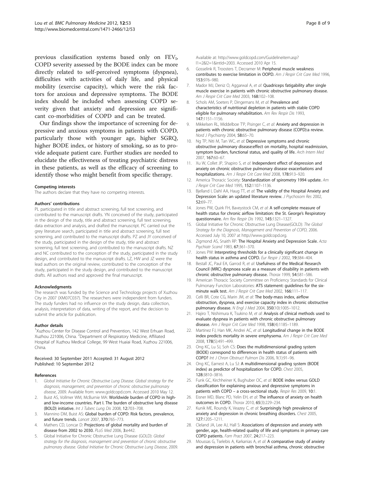<span id="page-7-0"></span>previous classification systems based only on  $FEV<sub>1</sub>$ , COPD severity assessed by the BODE index can be more directly related to self-perceived symptoms (dyspnea), difficulties with activities of daily life, and physical mobility (exercise capacity), which were the risk factors for anxious and depressive symptoms. The BODE index should be included when assessing COPD severity given that anxiety and depression are significant co-morbidities of COPD and can be treated.

Our findings show the importance of screening for depressive and anxious symptoms in patients with COPD, particularly those with younger age, higher SGRQ, higher BODE index, or history of smoking, so as to provide adequate patient care. Further studies are needed to elucidate the effectiveness of treating psychiatric distress in these patients, as well as the efficacy of screening to identify those who might benefit from specific therapy.

#### Competing interests

The authors declare that they have no competing interests.

#### Authors' contributions

PL participated in title and abstract screening, full text screening, and contributed to the manuscript drafts. YN conceived of the study, participated in the design of the study, title and abstract screening, full text screening, data extraction and analysis, and drafted the manuscript. PC carried out the grey literature search, participated in title and abstract screening, full text screening, and contributed to the manuscript drafts. PZ and JY conceived of the study, participated in the design of the study, title and abstract screening, full text screening, and contributed to the manuscript drafts. NZ and NC contributed to the conception of the study, participated in the study design, and contributed to the manuscript drafts. LZ, HW and JZ were the lead authors on the original review, contributed to the conception of the study, participated in the study design, and contributed to the manuscript drafts. All authors read and approved the final manuscript.

#### Acknowledgments

The research was funded by the Science and Technology projects of Xuzhou City in 2007 (XM07C037). The researchers were independent from funders. The study funders had no influence on the study design, data collection, analysis, interpretation of data, writing of the report, and the decision to submit the article for publication.

#### Author details

<sup>1</sup>Xuzhou Center for Disease Control and Prevention, 142 West Erhuan Road, Xuzhou 221006, China. <sup>2</sup>Department of Respiratory Medicine, Affiliated Hospital of Xuzhou Medical College, 99 West Huaiai Road, Xuzhou 221006, China.

#### Received: 30 September 2011 Accepted: 31 August 2012 Published: 10 September 2012

#### References

- Global Initiative for Chronic Obstructive Lung Disease. Global strategy for the diagnosis, management, and prevention of chronic obstructive pulmonary disease, 2009. Available from: [www.goldcopd.com.](http://www.goldcopd.com) Accessed 2010 May 12.
- 2. Buist AS, Vollmer WM, McBurnie MA: Worldwide burden of COPD in highand low-income countries. Part I. The burden of obstructive lung disease (BOLD) initiative. Int J Tuberc Lung Dis 2008, 12:703–708.
- 3. Mannino DM, Buist AS: Global burden of COPD: Risk factors, prevalence, and future trends. Lancet 2007, 370:765–773.
- 4. Mathers CD, Loncar D: Projections of global mortality and burden of disease from 2002 to 2030. PLoS Med 2006, 3:e442.
- 5. Global Initiative for Chronic Obstructive Lung Disease (GOLD): Global strategy for the diagnosis, management and prevention of chronic obstructive pulmonary disease. Global Initiative for Chronic Obstructive Lung Disease, 2009.

Available at: [http://www.goldcopd.com/Guidelineitem.asp?](http://www.goldcopd.com/Guidelineitem.asp?l1=2&l2=1&intId=2003) [l1=2&l2=1&intId=2003](http://www.goldcopd.com/Guidelineitem.asp?l1=2&l2=1&intId=2003). Accessed 2010 Apr 15.

- 6. Gosselink R, Troosters T, Decramer M: Peripheral muscle weakness contributes to exercise limitation in OOPD. Am J Respir Crit Care Med 1996. 153:976–980.
- 7. Mador MJ, Deniz O, Aggarwal A, et al: Quadriceps fatigability after single muscle exercise in patients with chronic obstructive pulmonary disease. Am J Respir Crit Care Med 2003, 168:102–108.
- 8. Schols AM, Soeters P, Dingemans M, et al: Prevalence and characteristics of nutritional depletion in patients with stable COPD eligible for pulmonary rehabilitation. Am Rev Respir Dis 1993, 147:1151–1156.
- 9. Mikkelsen RL, Middelboe T'P, Pisinger C, et al: Anxiety and depression in patients with chronic obstructive pulmonary disease (COPD):a review. Nord J Psychianty 2004, 58:65-70.
- 10. Ng TP, Niti M, Tan WC, et al: Depressive symptoms and chronic obstructive pulmonary disease:effect on mortality, hospital readmission, symptom burden, functional status, and quality of life. Arch Intem Med 2007, 167:60–67.
- 11. Xu W, Collet JP, Shapiro S, et al: Independent effect of depression and anxiety on chronic obstructive pulmonary disease exacerbations and hospitalizations. Am J Respir Crit Care Med 2008, 178:913-920.
- 12. America Thoracic Society: Standardization of spirometry 1994 update. Am J Respir Crit Care Med 1995, 152:1107–1136.
- 13. Bjelland I, Dahl AA, Haug TT, et al: The validity of the Hospital Anxiety and Depression Scale: an updated literature review. J Psychosom Res 2002, 52:69–77.
- 14. Jones PW, Quirk FH, Bayeystock CM, et al: A self-complete measure of health status for chronic airflow limitation: the St. George's Respiratory questionnaire. Am Rev Respir Dis 1992, 145:1321–1327.
- 15. Global Initiative for Chronic Obstructive Lung Disease(GOLD): The Global Strategy for the Diagnosis, Management and Prevention of COPD, 2006. Accessed July 10, 2007 at<http://www.goldcopd.org.>
- 16. Zigmond AS, Snaith RP: The Hospital Anxiety and Depression Scale. Acta Psychiatr Scand 1983, 67:361–370.
- 17. Jones PW: Interpreting thresholds for a clinically significant change in health status in asthma and COPD. Eur Respir J 2002, 19:384–404.
- 18. Bestall JC, Paul EA, Garrod R, et al: Usefulness of the Medical Research Council (MRC) dyspnoea scale as a measure of disability in patients with chronic obstructive pulmonary disease. Thorax 1999, 54:581–586.
- 19. American Thoracic Society Committee on Proficiency Standards for Clinical Pulmonary Function Laboratories: ATS statement: guidelines for the sixminute walk test. Am J Respir Crit Care Med 2002, 166:111-117.
- 20. Celli BR, Cote CG, Marin JM, et al: The body-mass index, airflow obstruction, dyspnea, and exercise capacity index in chronic obstructive pulmonary disease. N Engl J Med 2004, 350(10):1005–1012.
- 21. Hajiro T, Nishimura K, Tsukino M, et al: Analysis of clinical methods used to evaluate dyspnea in patients with chronic obstructive pulmonary disease. Am J Respir Crit Care Med 1998, 158(4):1185–1189.
- 22. Martinez FJ, Han MK, Andrei AC, et al: Longitudinal change in the BODE index predicts mortality in severe emphysema. Am J Respir Crit Care Med 2008, 178(5):491–499.
- 23. Ong KC, Lu SJ, Soh CS: Does the multidimensional grading system (BODE) correspond to differences in health status of patients with COPD? Int J Chron Obstruct Pulmon Dis 2006, 1(1):91–96.
- 24. Ong KC, Earnest A, Lu SJ: A multidimensional grading system (BODE index) as predictor of hospitalization for COPD. Chest 2005, 128:3810–3816.
- 25. Funk GC, Kirchheiner K, Bughuber OC, et al: BODE index versus GOLD classification for explaining anxious and depressive symptoms in patients with COPD - a cross-sectional study. Respir Res 2009, 10:1.
- 26. Eisner MD, Blanc PD, Yelin EH, et al: The influence of anxiety on health outcomes in COPD. Thorax 2010, 65(3):229–234.
- 27. Kunik ME, Roundy K, Veazey C, et al: Surprisingly high prevalence of anxiety and depression in chronic breathing disorders. Chest 2005, 127:1205–1211.
- 28. Cleland JA, Lee AJ, Hall S: Associations of depression and anxiety with gender, age, health-related quality of life and symptoms in primary care COPD patients. Fam Pract 2007, 24:217–223.
- 29. Moussas G, Tselebis A, Karkanias A, et al: A comparative study of anxiety and depression in patients with bronchial asthma, chronic obstructive